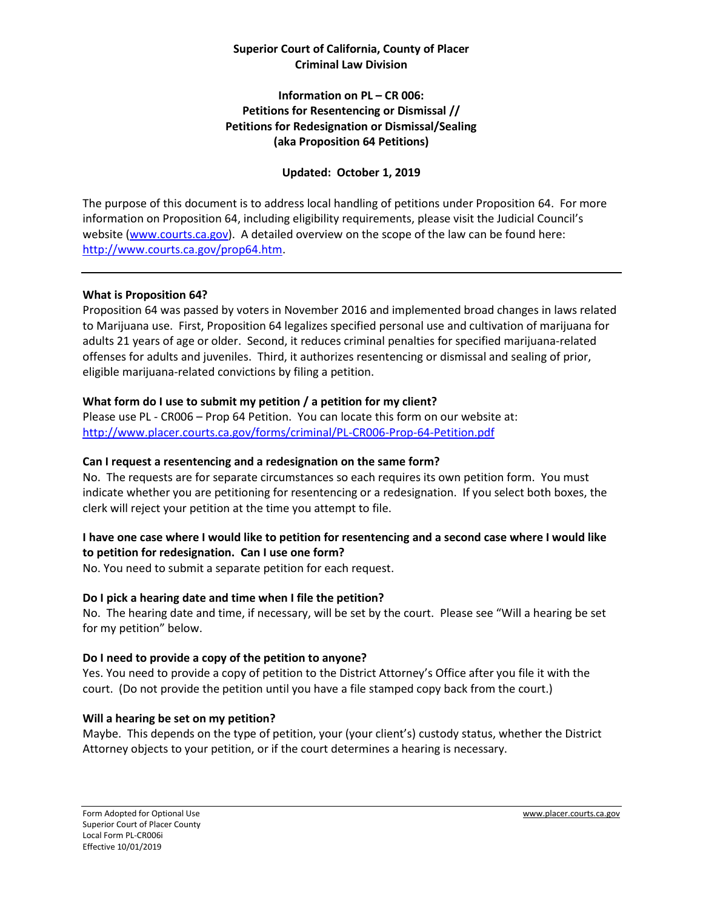#### **Superior Court of California, County of Placer Criminal Law Division**

#### **Information on PL – CR 006: Petitions for Resentencing or Dismissal // Petitions for Redesignation or Dismissal/Sealing (aka Proposition 64 Petitions)**

## **Updated: October 1, 2019**

The purpose of this document is to address local handling of petitions under Proposition 64. For more information on Proposition 64, including eligibility requirements, please visit the Judicial Council's website [\(www.courts.ca.gov\)](http://www.courts.ca.gov/). A detailed overview on the scope of the law can be found here: [http://www.courts.ca.gov/prop64.htm.](http://www.courts.ca.gov/prop64.htm)

#### **What is Proposition 64?**

Proposition 64 was passed by voters in November 2016 and implemented broad changes in laws related to Marijuana use. First, Proposition 64 legalizes specified personal use and cultivation of marijuana for adults 21 years of age or older. Second, it reduces criminal penalties for specified marijuana-related offenses for adults and juveniles. Third, it authorizes resentencing or dismissal and sealing of prior, eligible marijuana-related convictions by filing a petition.

### **What form do I use to submit my petition / a petition for my client?**

Please use PL - CR006 – Prop 64 Petition. You can locate this form on our website at: <http://www.placer.courts.ca.gov/forms/criminal/PL-CR006-Prop-64-Petition.pdf>

#### **Can I request a resentencing and a redesignation on the same form?**

No. The requests are for separate circumstances so each requires its own petition form. You must indicate whether you are petitioning for resentencing or a redesignation. If you select both boxes, the clerk will reject your petition at the time you attempt to file.

# **I have one case where I would like to petition for resentencing and a second case where I would like to petition for redesignation. Can I use one form?**

No. You need to submit a separate petition for each request.

### **Do I pick a hearing date and time when I file the petition?**

No. The hearing date and time, if necessary, will be set by the court. Please see "Will a hearing be set for my petition" below.

#### **Do I need to provide a copy of the petition to anyone?**

Yes. You need to provide a copy of petition to the District Attorney's Office after you file it with the court. (Do not provide the petition until you have a file stamped copy back from the court.)

#### **Will a hearing be set on my petition?**

Maybe. This depends on the type of petition, your (your client's) custody status, whether the District Attorney objects to your petition, or if the court determines a hearing is necessary.